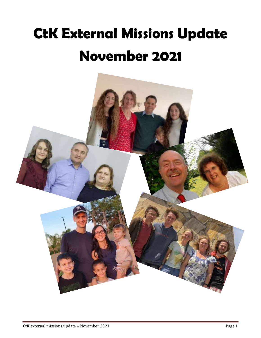### **CtK External Missions Update November 2021**

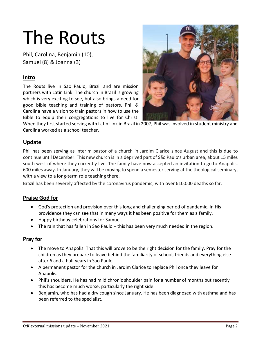### The Routs

Phil, Carolina, Benjamin (10), Samuel (8) & Joanna (3)

### **Intro**

The Routs live in Sao Paulo, Brazil and are mission partners with Latin Link. The church in Brazil is growing which is very exciting to see, but also brings a need for good bible teaching and training of pastors. Phil & Carolina have a vision to train pastors in how to use the Bible to equip their congregations to live for Christ.



When they first started serving with Latin Link in Brazil in 2007, Phil was involved in student ministry and Carolina worked as a school teacher.

### **Update**

Phil has been serving as interim pastor of a church in Jardim Clarice since August and this is due to continue until December. This new church is in a deprived part of São Paulo's urban area, about 15 miles south west of where they currently live. The family have now accepted an invitation to go to Anapolis, 600 miles away. In January, they will be moving to spend a semester serving at the theological seminary, with a view to a long-term role teaching there.

Brazil has been severely affected by the coronavirus pandemic, with over 610,000 deaths so far.

### **Praise God for**

- God's protection and provision over this long and challenging period of pandemic. In His providence they can see that in many ways it has been positive for them as a family.
- Happy birthday celebrations for Samuel.
- The rain that has fallen in Sao Paulo this has been very much needed in the region.

- The move to Anapolis. That this will prove to be the right decision for the family. Pray for the children as they prepare to leave behind the familiarity of school, friends and everything else after 6 and a half years in Sao Paulo.
- A permanent pastor for the church in Jardim Clarice to replace Phil once they leave for Anapolis.
- Phil's shoulders. He has had mild chronic shoulder pain for a number of months but recently this has become much worse, particularly the right side.
- Benjamin, who has had a dry cough since January. He has been diagnosed with asthma and has been referred to the specialist.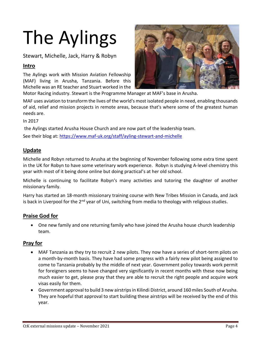# The Aylings

Stewart, Michelle, Jack, Harry & Robyn

### **Intro**

The Aylings work with Mission Aviation Fellowship (MAF) living in Arusha, Tanzania. Before this Michelle was an RE teacher and Stuart worked in the



Motor Racing industry. Stewart is the Programme Manager at MAF's base in Arusha.

MAF uses aviation to transform the lives of the world's most isolated people in need, enabling thousands of aid, relief and mission projects in remote areas, because that's where some of the greatest human needs are.

In 2017

the Aylings started Arusha House Church and are now part of the leadership team.

See their blog at:<https://www.maf-uk.org/staff/ayling-stewart-and-michelle>

### **Update**

Michelle and Robyn returned to Arusha at the beginning of November following some extra time spent in the UK for Robyn to have some veterinary work experience. Robyn is studying A-level chemistry this year with most of it being done online but doing practical's at her old school.

Michelle is continuing to facilitate Robyn's many activities and tutoring the daughter of another missionary family.

Harry has started an 18-month missionary training course with New Tribes Mission in Canada, and Jack is back in Liverpool for the  $2<sup>nd</sup>$  year of Uni, switching from media to theology with religious studies.

### **Praise God for**

• One new family and one returning family who have joined the Arusha house church leadership team.

- MAF Tanzania as they try to recruit 2 new pilots. They now have a series of short-term pilots on a month-by-month basis. They have had some progress with a fairly new pilot being assigned to come to Tanzania probably by the middle of next year. Government policy towards work permit for foreigners seems to have changed very significantly in recent months with these now being much easier to get, please pray that they are able to recruit the right people and acquire work visas easily for them.
- Government approval to build 3 new airstrips in Kilindi District, around 160 miles South of Arusha. They are hopeful that approval to start building these airstrips will be received by the end of this year.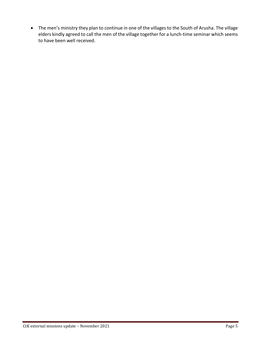• The men's ministry they plan to continue in one of the villages to the South of Arusha. The village elders kindly agreed to call the men of the village together for a lunch-time seminar which seems to have been well received.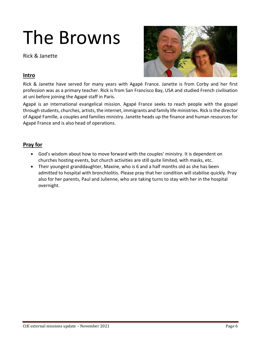### The Browns

Rick & Janette



### **Intro**

Rick & Janette have served for many years with Agapé France. Janette is from Corby and her first profession was as a primary teacher. Rick is from San Francisco Bay, USA and studied French civilisation at uni before joining the Agapé staff in Paris.

Agapé is an international evangelical mission. Agapé France seeks to reach people with the gospel through students, churches, artists, the internet, immigrants and family life ministries. Rick is the director of Agapé Famille, a couples and families ministry. Janette heads up the finance and human resources for Agapé France and is also head of operations.

- God's wisdom about how to move forward with the couples' ministry. It is dependent on churches hosting events, but church activities are still quite limited, with masks, etc.
- Their youngest granddaughter, Maxine, who is 6 and a half months old as she has been admitted to hospital with bronchiolitis. Please pray that her condition will stabilise quickly. Pray also for her parents, Paul and Julienne, who are taking turns to stay with her in the hospital overnight.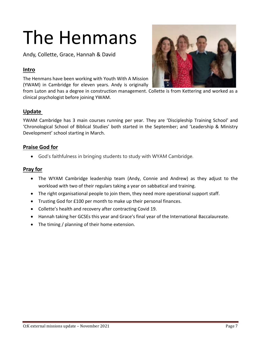## The Henmans

Andy, Collette, Grace, Hannah & David

### **Intro**

The Henmans have been working with Youth With A Mission (YWAM) in Cambridge for eleven years. Andy is originally

from Luton and has a degree in construction management. Collette is from Kettering and worked as a clinical psychologist before joining YWAM.

### **Update**

YWAM Cambridge has 3 main courses running per year. They are 'Discipleship Training School' and 'Chronological School of Biblical Studies' both started in the September; and 'Leadership & Ministry Development' school starting in March.

### **Praise God for**

• God's faithfulness in bringing students to study with WYAM Cambridge.

- The WYAM Cambridge leadership team (Andy, Connie and Andrew) as they adjust to the workload with two of their regulars taking a year on sabbatical and training.
- The right organisational people to join them, they need more operational support staff.
- Trusting God for £100 per month to make up their personal finances.
- Collette's health and recovery after contracting Covid 19.
- Hannah taking her GCSEs this year and Grace's final year of the International Baccalaureate.
- The timing / planning of their home extension.

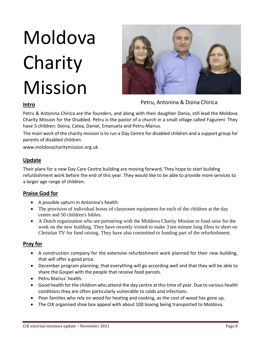# Moldova Charity Mission



Petru, Antonina & Doina Chirica

#### **Intro**

Petru & Antonina Chirica are the founders, and along with their daughter Donia, still lead the Moldova Charity Mission for the Disabled. Petru is the pastor of a church in a small village called Fagureni. They have 5 children: Doina, Catea, Daniel, Emanuela and Petru-Marius.

The main work of the charity mission is to run a Day Centre for disabled children and a support group for parents of disabled children.

www.moldovacharitymission.org.uk

### **Update**

Their plans for a new Day Care Centre building are moving forward. They hope to start building refurbishment work before the end of this year. They would like to be able to provide more services to a larger age range of children.

### **Praise God for**

- A possible upturn in Antonina's health.
- The provision of individual boxes of classroom equipment for each of the children at the day centre and 50 children's bibles.
- A Dutch organisation who are partnering with the Moldova Charity Mission to fund raise for the work on the new building. They have recently visited to make 3 ten minute long films to short on Christian TV for fund raising. They have also committed to funding part of the refurbishment.

- A construction company for the extensive refurbishment work planned for their new building, that will offer a good price.
- December program planning; that everything will go according well and that they will be able to share the Gospel with the people that receive food parcels.
- Petru Marius' health.
- Good health for the children who attend the day centre at this time of year. Due to various health conditions they are often particularly vulnerable to colds and infections.
- Poor families who rely on wood for heating and cooking, as the cost of wood has gone up.
- The CtK organised shoe box appeal with about 100 boxing being transported to Moldova.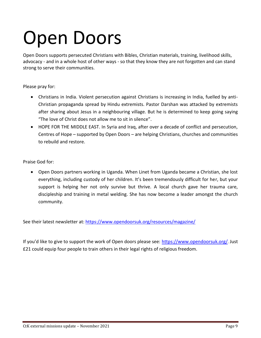## Open Doors

Open Doors supports persecuted Christians with Bibles, Christian materials, training, livelihood skills, advocacy - and in a whole host of other ways - so that they know they are not forgotten and can stand strong to serve their communities.

Please pray for:

- Christians in India. Violent persecution against Christians is increasing in India, fuelled by anti-Christian propaganda spread by Hindu extremists. Pastor Darshan was attacked by extremists after sharing about Jesus in a neighbouring village. But he is determined to keep going saying "The love of Christ does not allow me to sit in silence".
- HOPE FOR THE MIDDLE EAST. In Syria and Iraq, after over a decade of conflict and persecution, Centres of Hope – supported by Open Doors – are helping Christians, churches and communities to rebuild and restore.

Praise God for:

• Open Doors partners working in Uganda. When Linet from Uganda became a Christian, she lost everything, including custody of her children. It's been tremendously difficult for her, but your support is helping her not only survive but thrive. A local church gave her trauma care, discipleship and training in metal welding. She has now become a leader amongst the church community.

See their latest newsletter at: <https://www.opendoorsuk.org/resources/magazine/>

If you'd like to give to support the work of Open doors please see: <https://www.opendoorsuk.org/>. Just £21 could equip four people to train others in their legal rights of religious freedom.